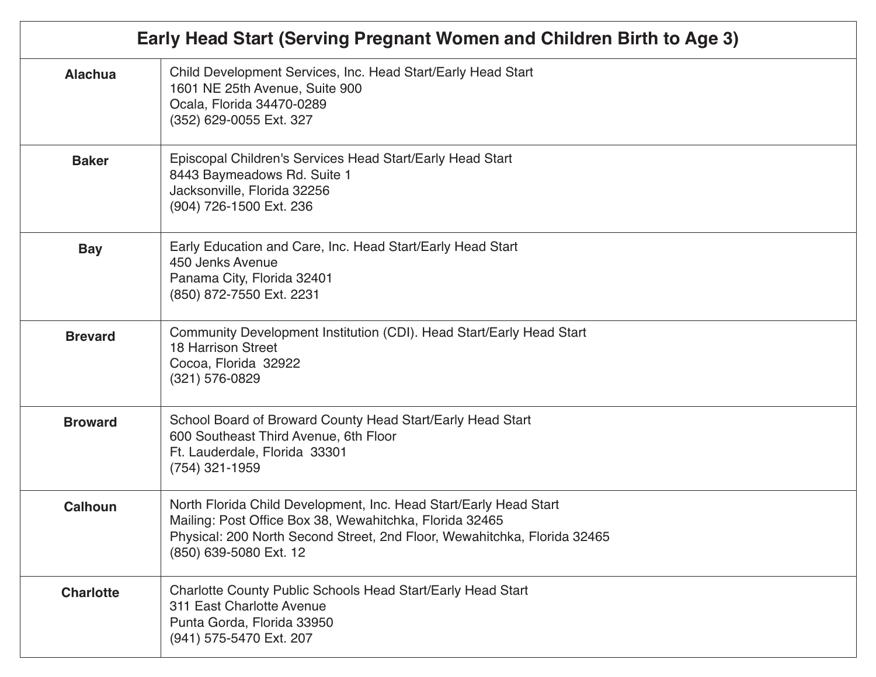| Early Head Start (Serving Pregnant Women and Children Birth to Age 3) |                                                                                                                                                                                                                                    |
|-----------------------------------------------------------------------|------------------------------------------------------------------------------------------------------------------------------------------------------------------------------------------------------------------------------------|
| <b>Alachua</b>                                                        | Child Development Services, Inc. Head Start/Early Head Start<br>1601 NE 25th Avenue, Suite 900<br>Ocala, Florida 34470-0289<br>(352) 629-0055 Ext. 327                                                                             |
| <b>Baker</b>                                                          | Episcopal Children's Services Head Start/Early Head Start<br>8443 Baymeadows Rd. Suite 1<br>Jacksonville, Florida 32256<br>(904) 726-1500 Ext. 236                                                                                 |
| <b>Bay</b>                                                            | Early Education and Care, Inc. Head Start/Early Head Start<br>450 Jenks Avenue<br>Panama City, Florida 32401<br>(850) 872-7550 Ext. 2231                                                                                           |
| <b>Brevard</b>                                                        | Community Development Institution (CDI). Head Start/Early Head Start<br><b>18 Harrison Street</b><br>Cocoa, Florida 32922<br>(321) 576-0829                                                                                        |
| <b>Broward</b>                                                        | School Board of Broward County Head Start/Early Head Start<br>600 Southeast Third Avenue, 6th Floor<br>Ft. Lauderdale, Florida 33301<br>$(754)$ 321-1959                                                                           |
| <b>Calhoun</b>                                                        | North Florida Child Development, Inc. Head Start/Early Head Start<br>Mailing: Post Office Box 38, Wewahitchka, Florida 32465<br>Physical: 200 North Second Street, 2nd Floor, Wewahitchka, Florida 32465<br>(850) 639-5080 Ext. 12 |
| <b>Charlotte</b>                                                      | <b>Charlotte County Public Schools Head Start/Early Head Start</b><br>311 East Charlotte Avenue<br>Punta Gorda, Florida 33950<br>(941) 575-5470 Ext. 207                                                                           |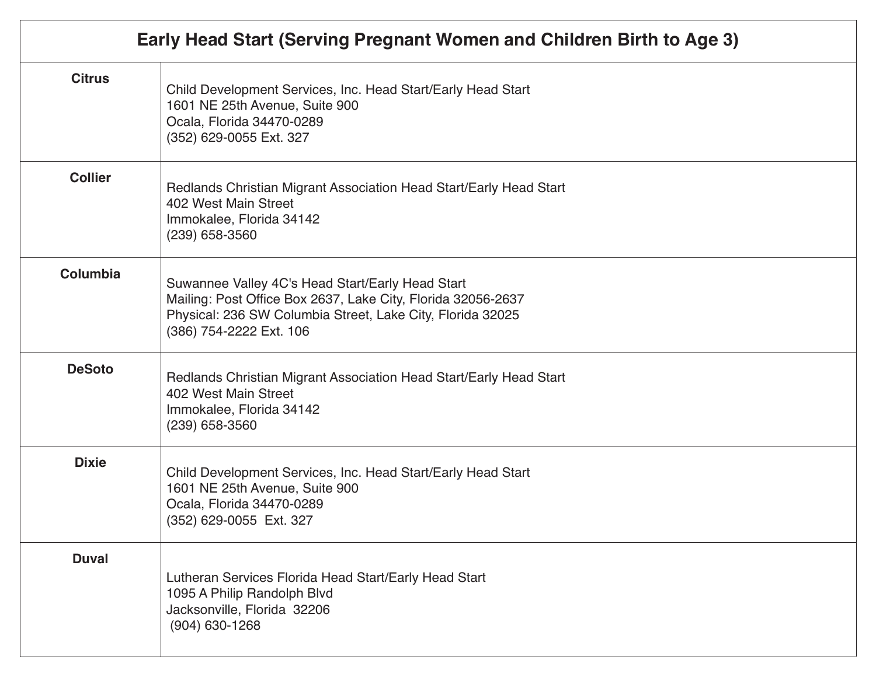| Early Head Start (Serving Pregnant Women and Children Birth to Age 3) |                                                                                                                                                                                                           |
|-----------------------------------------------------------------------|-----------------------------------------------------------------------------------------------------------------------------------------------------------------------------------------------------------|
| <b>Citrus</b>                                                         | Child Development Services, Inc. Head Start/Early Head Start<br>1601 NE 25th Avenue, Suite 900<br>Ocala, Florida 34470-0289<br>(352) 629-0055 Ext. 327                                                    |
| <b>Collier</b>                                                        | Redlands Christian Migrant Association Head Start/Early Head Start<br>402 West Main Street<br>Immokalee, Florida 34142<br>$(239)$ 658-3560                                                                |
| <b>Columbia</b>                                                       | Suwannee Valley 4C's Head Start/Early Head Start<br>Mailing: Post Office Box 2637, Lake City, Florida 32056-2637<br>Physical: 236 SW Columbia Street, Lake City, Florida 32025<br>(386) 754-2222 Ext. 106 |
| <b>DeSoto</b>                                                         | Redlands Christian Migrant Association Head Start/Early Head Start<br>402 West Main Street<br>Immokalee, Florida 34142<br>(239) 658-3560                                                                  |
| <b>Dixie</b>                                                          | Child Development Services, Inc. Head Start/Early Head Start<br>1601 NE 25th Avenue, Suite 900<br>Ocala, Florida 34470-0289<br>(352) 629-0055 Ext. 327                                                    |
| <b>Duval</b>                                                          | Lutheran Services Florida Head Start/Early Head Start<br>1095 A Philip Randolph Blvd<br>Jacksonville, Florida 32206<br>$(904)$ 630-1268                                                                   |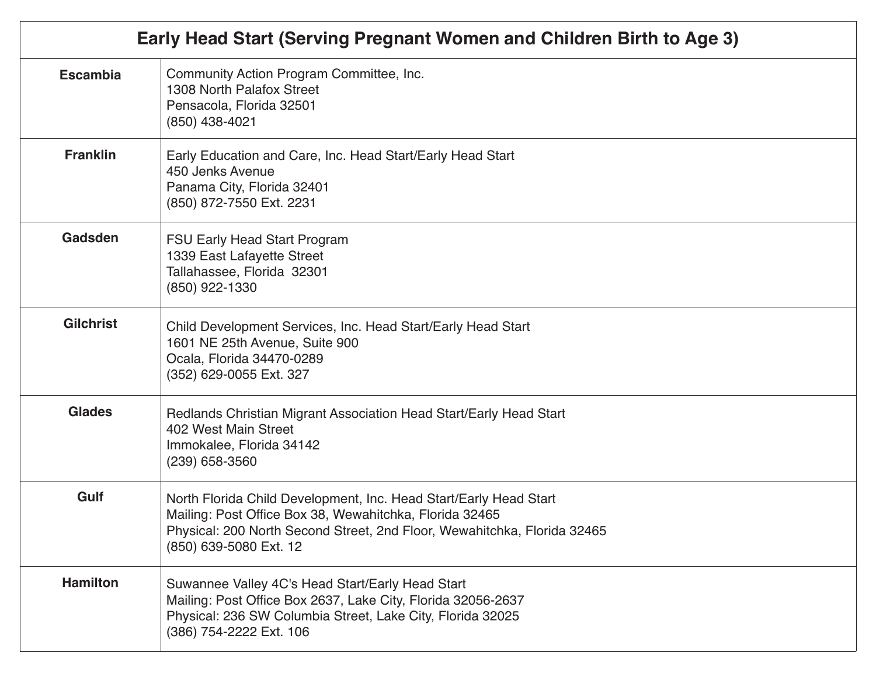| Early Head Start (Serving Pregnant Women and Children Birth to Age 3) |                                                                                                                                                                                                                                    |
|-----------------------------------------------------------------------|------------------------------------------------------------------------------------------------------------------------------------------------------------------------------------------------------------------------------------|
| <b>Escambia</b>                                                       | Community Action Program Committee, Inc.<br>1308 North Palafox Street<br>Pensacola, Florida 32501<br>(850) 438-4021                                                                                                                |
| <b>Franklin</b>                                                       | Early Education and Care, Inc. Head Start/Early Head Start<br>450 Jenks Avenue<br>Panama City, Florida 32401<br>(850) 872-7550 Ext. 2231                                                                                           |
| Gadsden                                                               | <b>FSU Early Head Start Program</b><br>1339 East Lafayette Street<br>Tallahassee, Florida 32301<br>(850) 922-1330                                                                                                                  |
| <b>Gilchrist</b>                                                      | Child Development Services, Inc. Head Start/Early Head Start<br>1601 NE 25th Avenue, Suite 900<br>Ocala, Florida 34470-0289<br>(352) 629-0055 Ext. 327                                                                             |
| <b>Glades</b>                                                         | Redlands Christian Migrant Association Head Start/Early Head Start<br>402 West Main Street<br>Immokalee, Florida 34142<br>$(239)$ 658-3560                                                                                         |
| Gulf                                                                  | North Florida Child Development, Inc. Head Start/Early Head Start<br>Mailing: Post Office Box 38, Wewahitchka, Florida 32465<br>Physical: 200 North Second Street, 2nd Floor, Wewahitchka, Florida 32465<br>(850) 639-5080 Ext. 12 |
| <b>Hamilton</b>                                                       | Suwannee Valley 4C's Head Start/Early Head Start<br>Mailing: Post Office Box 2637, Lake City, Florida 32056-2637<br>Physical: 236 SW Columbia Street, Lake City, Florida 32025<br>(386) 754-2222 Ext. 106                          |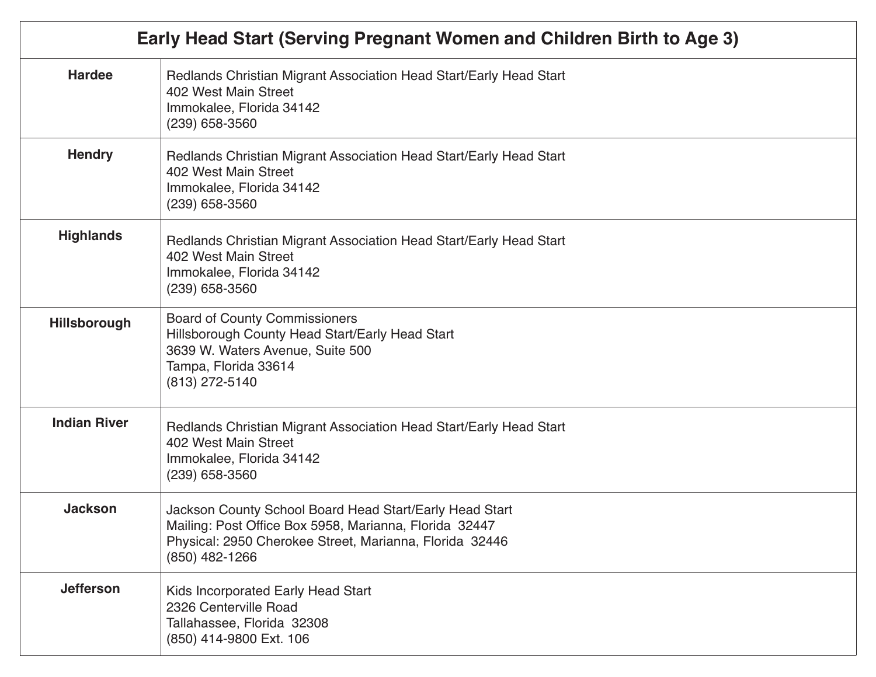| Early Head Start (Serving Pregnant Women and Children Birth to Age 3) |                                                                                                                                                                                                |
|-----------------------------------------------------------------------|------------------------------------------------------------------------------------------------------------------------------------------------------------------------------------------------|
| <b>Hardee</b>                                                         | Redlands Christian Migrant Association Head Start/Early Head Start<br>402 West Main Street<br>Immokalee, Florida 34142<br>$(239)$ 658-3560                                                     |
| <b>Hendry</b>                                                         | Redlands Christian Migrant Association Head Start/Early Head Start<br>402 West Main Street<br>Immokalee, Florida 34142<br>$(239)$ 658-3560                                                     |
| <b>Highlands</b>                                                      | Redlands Christian Migrant Association Head Start/Early Head Start<br>402 West Main Street<br>Immokalee, Florida 34142<br>$(239)$ 658-3560                                                     |
| Hillsborough                                                          | <b>Board of County Commissioners</b><br>Hillsborough County Head Start/Early Head Start<br>3639 W. Waters Avenue, Suite 500<br>Tampa, Florida 33614<br>(813) 272-5140                          |
| <b>Indian River</b>                                                   | Redlands Christian Migrant Association Head Start/Early Head Start<br>402 West Main Street<br>Immokalee, Florida 34142<br>(239) 658-3560                                                       |
| <b>Jackson</b>                                                        | Jackson County School Board Head Start/Early Head Start<br>Mailing: Post Office Box 5958, Marianna, Florida 32447<br>Physical: 2950 Cherokee Street, Marianna, Florida 32446<br>(850) 482-1266 |
| <b>Jefferson</b>                                                      | Kids Incorporated Early Head Start<br>2326 Centerville Road<br>Tallahassee, Florida 32308<br>(850) 414-9800 Ext. 106                                                                           |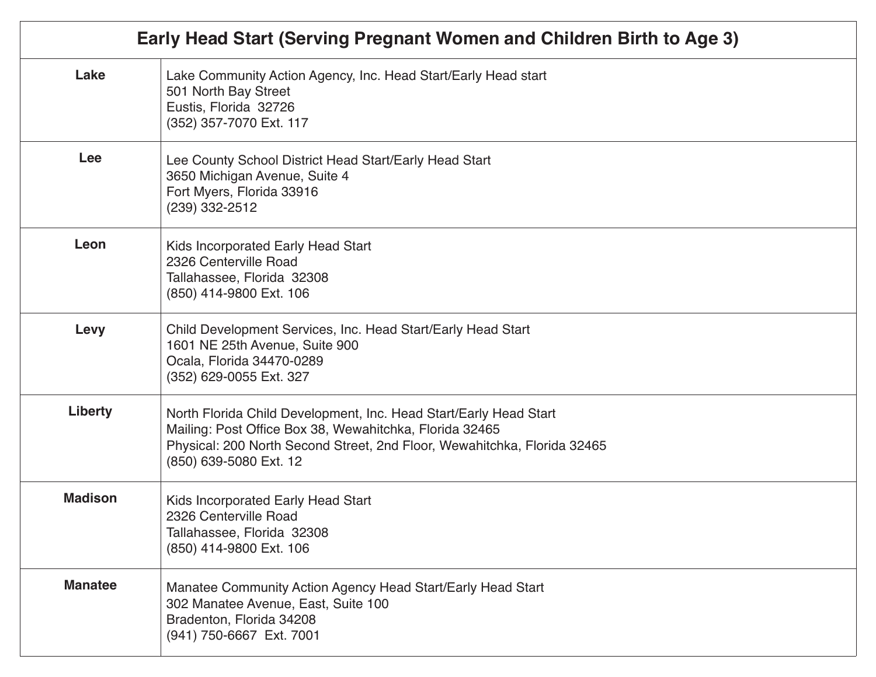| Early Head Start (Serving Pregnant Women and Children Birth to Age 3) |                                                                                                                                                                                                                                    |
|-----------------------------------------------------------------------|------------------------------------------------------------------------------------------------------------------------------------------------------------------------------------------------------------------------------------|
| Lake                                                                  | Lake Community Action Agency, Inc. Head Start/Early Head start<br>501 North Bay Street<br>Eustis, Florida 32726<br>(352) 357-7070 Ext. 117                                                                                         |
| Lee                                                                   | Lee County School District Head Start/Early Head Start<br>3650 Michigan Avenue, Suite 4<br>Fort Myers, Florida 33916<br>$(239)$ 332-2512                                                                                           |
| Leon                                                                  | Kids Incorporated Early Head Start<br>2326 Centerville Road<br>Tallahassee, Florida 32308<br>(850) 414-9800 Ext. 106                                                                                                               |
| Levy                                                                  | Child Development Services, Inc. Head Start/Early Head Start<br>1601 NE 25th Avenue, Suite 900<br>Ocala, Florida 34470-0289<br>(352) 629-0055 Ext. 327                                                                             |
| <b>Liberty</b>                                                        | North Florida Child Development, Inc. Head Start/Early Head Start<br>Mailing: Post Office Box 38, Wewahitchka, Florida 32465<br>Physical: 200 North Second Street, 2nd Floor, Wewahitchka, Florida 32465<br>(850) 639-5080 Ext. 12 |
| <b>Madison</b>                                                        | Kids Incorporated Early Head Start<br>2326 Centerville Road<br>Tallahassee, Florida 32308<br>(850) 414-9800 Ext. 106                                                                                                               |
| <b>Manatee</b>                                                        | Manatee Community Action Agency Head Start/Early Head Start<br>302 Manatee Avenue, East, Suite 100<br>Bradenton, Florida 34208<br>(941) 750-6667 Ext. 7001                                                                         |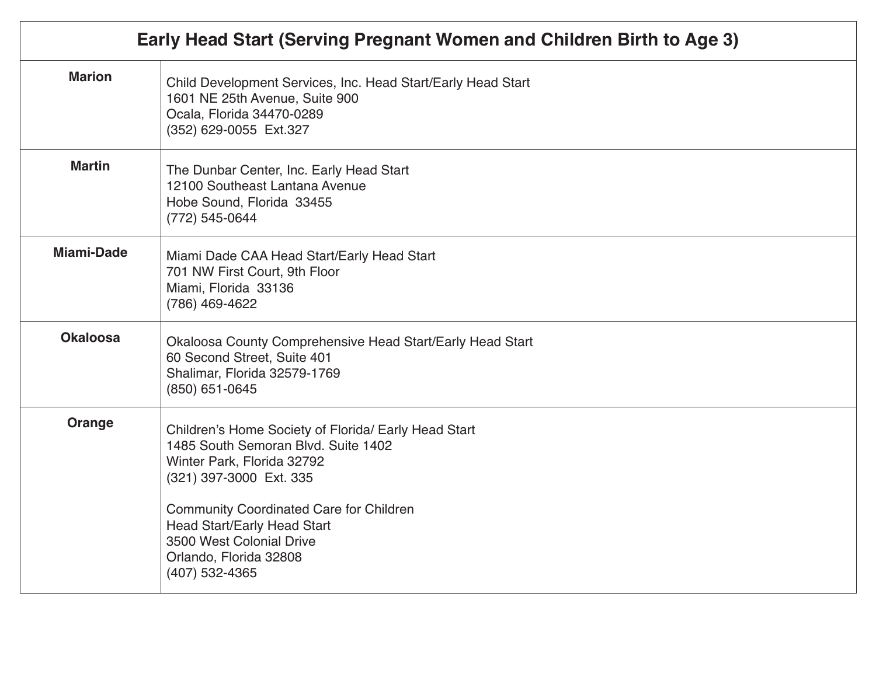| Early Head Start (Serving Pregnant Women and Children Birth to Age 3) |                                                                                                                                                                                                                                                                                                                        |
|-----------------------------------------------------------------------|------------------------------------------------------------------------------------------------------------------------------------------------------------------------------------------------------------------------------------------------------------------------------------------------------------------------|
| <b>Marion</b>                                                         | Child Development Services, Inc. Head Start/Early Head Start<br>1601 NE 25th Avenue, Suite 900<br>Ocala, Florida 34470-0289<br>(352) 629-0055 Ext.327                                                                                                                                                                  |
| <b>Martin</b>                                                         | The Dunbar Center, Inc. Early Head Start<br>12100 Southeast Lantana Avenue<br>Hobe Sound, Florida 33455<br>(772) 545-0644                                                                                                                                                                                              |
| <b>Miami-Dade</b>                                                     | Miami Dade CAA Head Start/Early Head Start<br>701 NW First Court, 9th Floor<br>Miami, Florida 33136<br>(786) 469-4622                                                                                                                                                                                                  |
| <b>Okaloosa</b>                                                       | Okaloosa County Comprehensive Head Start/Early Head Start<br>60 Second Street, Suite 401<br>Shalimar, Florida 32579-1769<br>(850) 651-0645                                                                                                                                                                             |
| Orange                                                                | Children's Home Society of Florida/ Early Head Start<br>1485 South Semoran Blvd. Suite 1402<br>Winter Park, Florida 32792<br>(321) 397-3000 Ext. 335<br><b>Community Coordinated Care for Children</b><br><b>Head Start/Early Head Start</b><br>3500 West Colonial Drive<br>Orlando, Florida 32808<br>$(407)$ 532-4365 |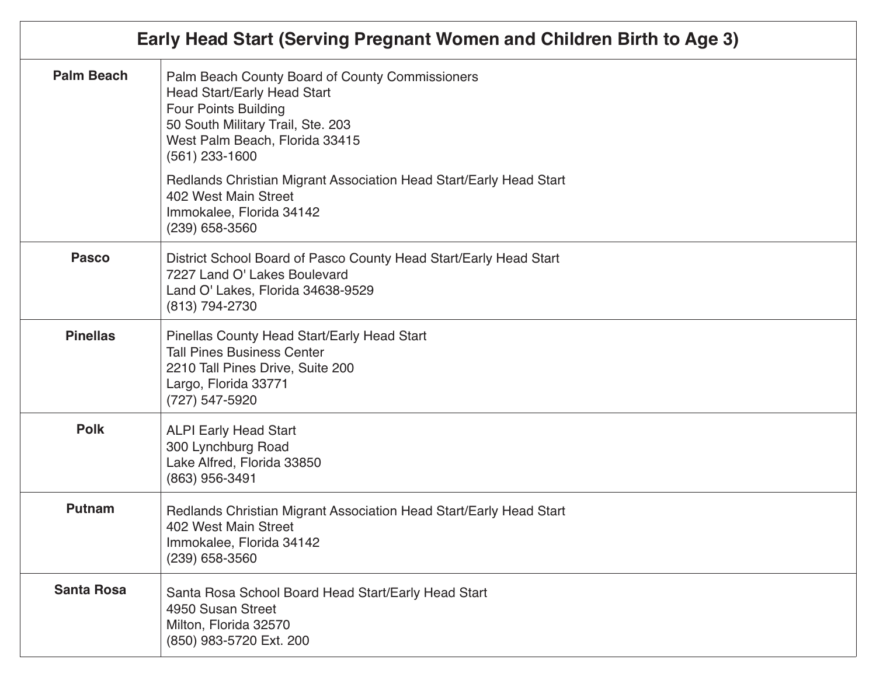| Early Head Start (Serving Pregnant Women and Children Birth to Age 3) |                                                                                                                                                                                                                 |
|-----------------------------------------------------------------------|-----------------------------------------------------------------------------------------------------------------------------------------------------------------------------------------------------------------|
| <b>Palm Beach</b>                                                     | Palm Beach County Board of County Commissioners<br><b>Head Start/Early Head Start</b><br><b>Four Points Building</b><br>50 South Military Trail, Ste. 203<br>West Palm Beach, Florida 33415<br>$(561)$ 233-1600 |
|                                                                       | Redlands Christian Migrant Association Head Start/Early Head Start<br>402 West Main Street<br>Immokalee, Florida 34142<br>(239) 658-3560                                                                        |
| <b>Pasco</b>                                                          | District School Board of Pasco County Head Start/Early Head Start<br>7227 Land O' Lakes Boulevard<br>Land O' Lakes, Florida 34638-9529<br>(813) 794-2730                                                        |
| <b>Pinellas</b>                                                       | Pinellas County Head Start/Early Head Start<br><b>Tall Pines Business Center</b><br>2210 Tall Pines Drive, Suite 200<br>Largo, Florida 33771<br>(727) 547-5920                                                  |
| <b>Polk</b>                                                           | <b>ALPI Early Head Start</b><br>300 Lynchburg Road<br>Lake Alfred, Florida 33850<br>(863) 956-3491                                                                                                              |
| <b>Putnam</b>                                                         | Redlands Christian Migrant Association Head Start/Early Head Start<br>402 West Main Street<br>Immokalee, Florida 34142<br>(239) 658-3560                                                                        |
| <b>Santa Rosa</b>                                                     | Santa Rosa School Board Head Start/Early Head Start<br>4950 Susan Street<br>Milton, Florida 32570<br>(850) 983-5720 Ext. 200                                                                                    |